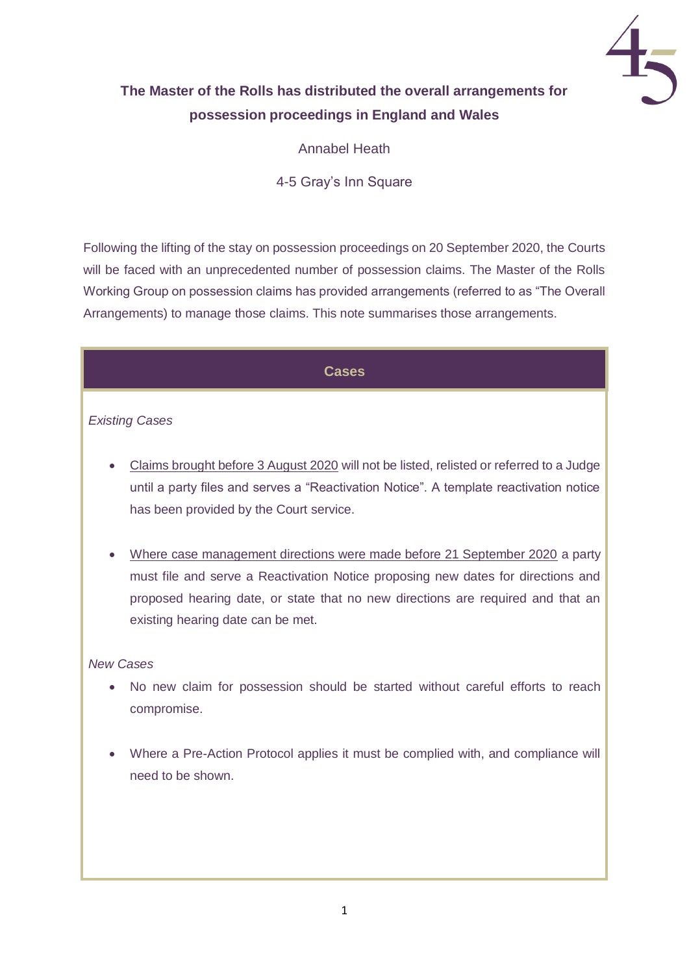

# **The Master of the Rolls has distributed the overall arrangements for possession proceedings in England and Wales**

Annabel Heath

4-5 Gray's Inn Square

Following the lifting of the stay on possession proceedings on 20 September 2020, the Courts will be faced with an unprecedented number of possession claims. The Master of the Rolls Working Group on possession claims has provided arrangements (referred to as "The Overall Arrangements) to manage those claims. This note summarises those arrangements.

## **Cases**

## *Existing Cases*

- Claims brought before 3 August 2020 will not be listed, relisted or referred to a Judge until a party files and serves a "Reactivation Notice". A template reactivation notice has been provided by the Court service.
- Where case management directions were made before 21 September 2020 a party must file and serve a Reactivation Notice proposing new dates for directions and proposed hearing date, or state that no new directions are required and that an existing hearing date can be met.

#### *New Cases*

- No new claim for possession should be started without careful efforts to reach compromise.
- Where a Pre-Action Protocol applies it must be complied with, and compliance will need to be shown.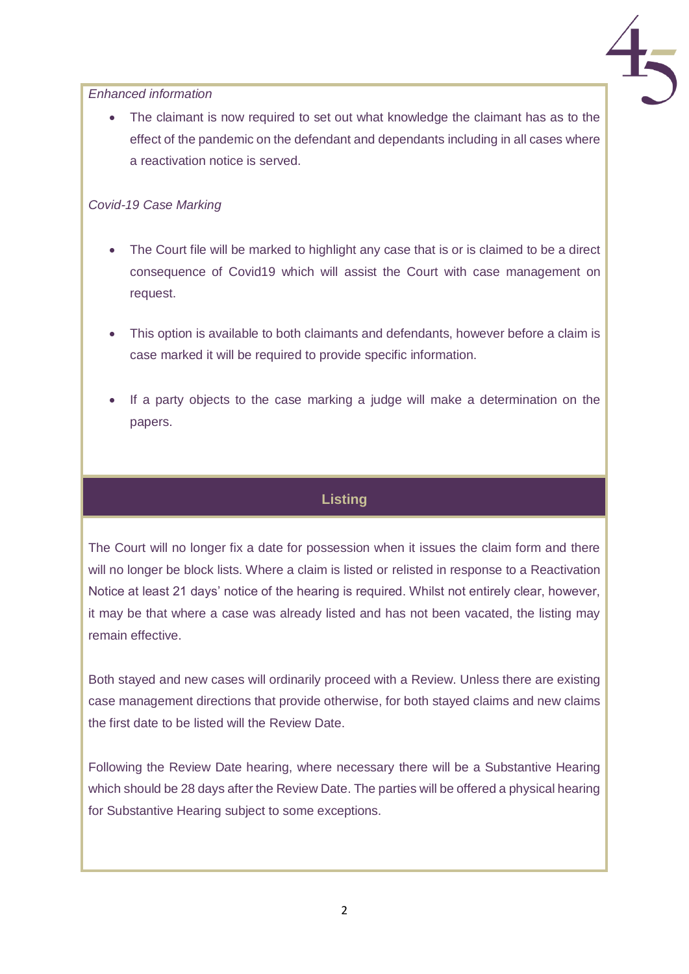

*Enhanced information* 

• The claimant is now required to set out what knowledge the claimant has as to the effect of the pandemic on the defendant and dependants including in all cases where a reactivation notice is served.

#### *Covid-19 Case Marking*

- The Court file will be marked to highlight any case that is or is claimed to be a direct consequence of Covid19 which will assist the Court with case management on request.
- This option is available to both claimants and defendants, however before a claim is case marked it will be required to provide specific information.
- If a party objects to the case marking a judge will make a determination on the papers.

# **Listing**

The Court will no longer fix a date for possession when it issues the claim form and there will no longer be block lists. Where a claim is listed or relisted in response to a Reactivation Notice at least 21 days' notice of the hearing is required. Whilst not entirely clear, however, it may be that where a case was already listed and has not been vacated, the listing may remain effective.

Both stayed and new cases will ordinarily proceed with a Review. Unless there are existing case management directions that provide otherwise, for both stayed claims and new claims the first date to be listed will the Review Date.

Following the Review Date hearing, where necessary there will be a Substantive Hearing which should be 28 days after the Review Date. The parties will be offered a physical hearing for Substantive Hearing subject to some exceptions.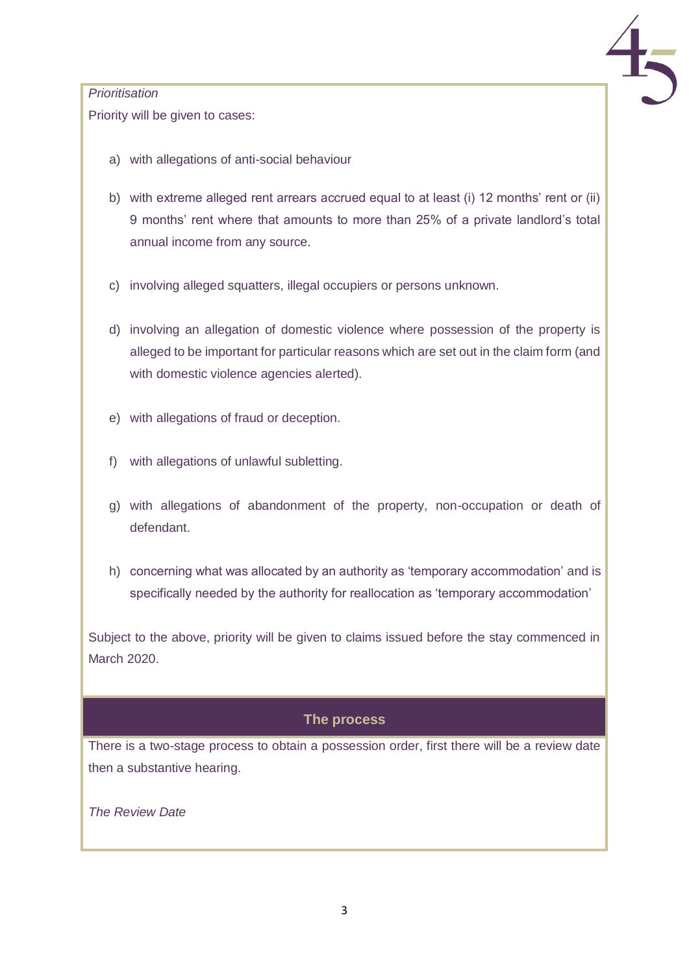

#### *Prioritisation*

Priority will be given to cases:

- a) with allegations of anti-social behaviour
- b) with extreme alleged rent arrears accrued equal to at least (i) 12 months' rent or (ii) 9 months' rent where that amounts to more than 25% of a private landlord's total annual income from any source.
- c) involving alleged squatters, illegal occupiers or persons unknown.
- d) involving an allegation of domestic violence where possession of the property is alleged to be important for particular reasons which are set out in the claim form (and with domestic violence agencies alerted).
- e) with allegations of fraud or deception.
- f) with allegations of unlawful subletting.
- g) with allegations of abandonment of the property, non-occupation or death of defendant.
- h) concerning what was allocated by an authority as 'temporary accommodation' and is specifically needed by the authority for reallocation as 'temporary accommodation'

Subject to the above, priority will be given to claims issued before the stay commenced in March 2020.

# **The process**

There is a two-stage process to obtain a possession order, first there will be a review date then a substantive hearing.

*The Review Date*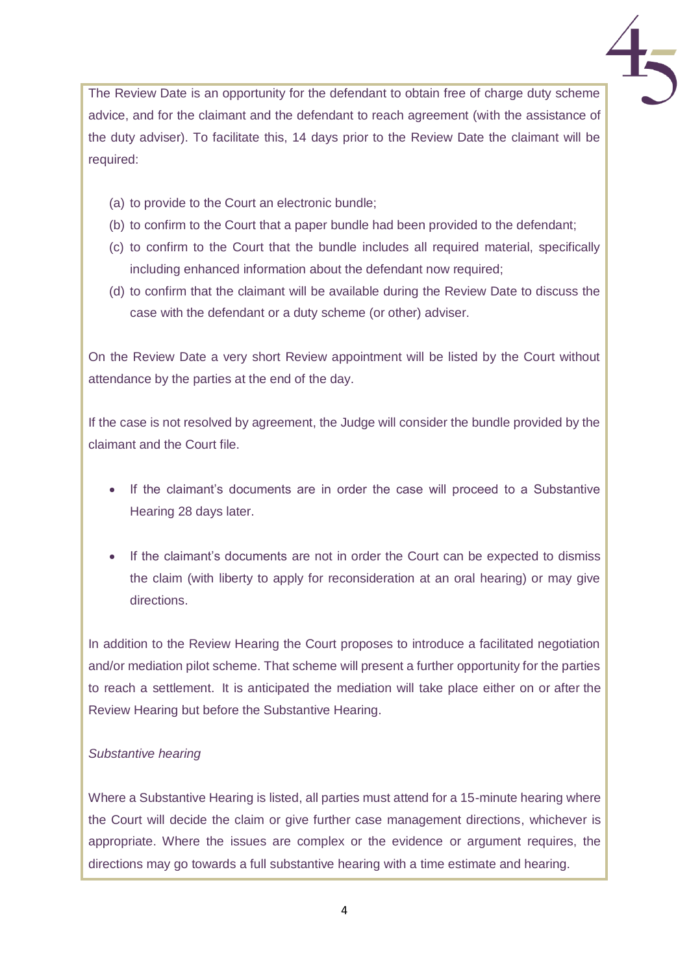The Review Date is an opportunity for the defendant to obtain free of charge duty scheme advice, and for the claimant and the defendant to reach agreement (with the assistance of the duty adviser). To facilitate this, 14 days prior to the Review Date the claimant will be required:

- (a) to provide to the Court an electronic bundle;
- (b) to confirm to the Court that a paper bundle had been provided to the defendant;
- (c) to confirm to the Court that the bundle includes all required material, specifically including enhanced information about the defendant now required;
- (d) to confirm that the claimant will be available during the Review Date to discuss the case with the defendant or a duty scheme (or other) adviser.

On the Review Date a very short Review appointment will be listed by the Court without attendance by the parties at the end of the day.

If the case is not resolved by agreement, the Judge will consider the bundle provided by the claimant and the Court file.

- If the claimant's documents are in order the case will proceed to a Substantive Hearing 28 days later.
- If the claimant's documents are not in order the Court can be expected to dismiss the claim (with liberty to apply for reconsideration at an oral hearing) or may give directions.

In addition to the Review Hearing the Court proposes to introduce a facilitated negotiation and/or mediation pilot scheme. That scheme will present a further opportunity for the parties to reach a settlement. It is anticipated the mediation will take place either on or after the Review Hearing but before the Substantive Hearing.

# *Substantive hearing*

Where a Substantive Hearing is listed, all parties must attend for a 15-minute hearing where the Court will decide the claim or give further case management directions, whichever is appropriate. Where the issues are complex or the evidence or argument requires, the directions may go towards a full substantive hearing with a time estimate and hearing.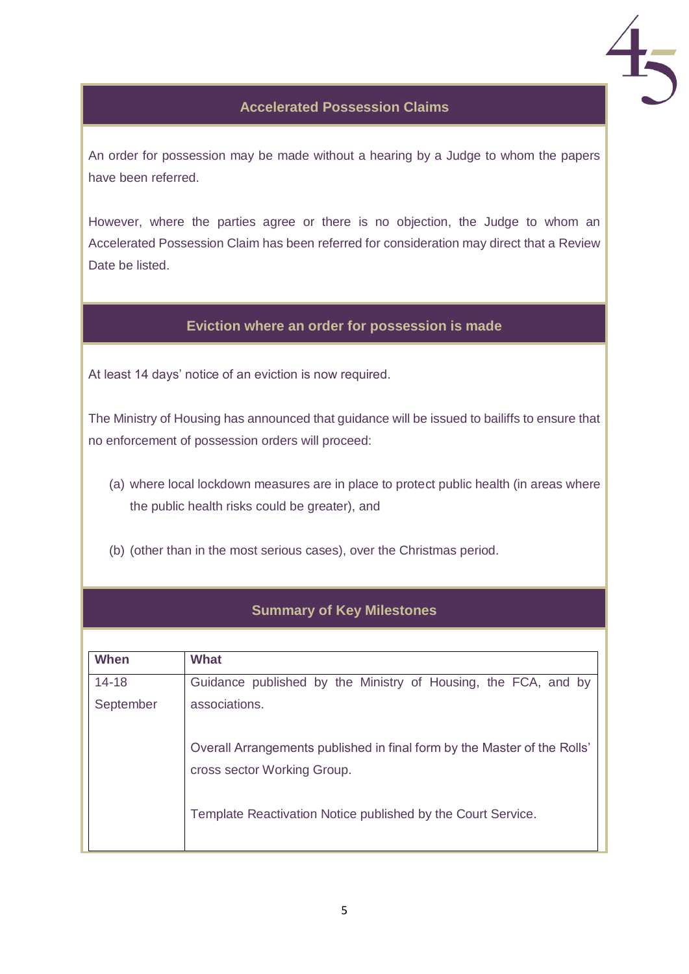

## **Accelerated Possession Claims**

An order for possession may be made without a hearing by a Judge to whom the papers have been referred.

However, where the parties agree or there is no objection, the Judge to whom an Accelerated Possession Claim has been referred for consideration may direct that a Review Date be listed.

#### **Eviction where an order for possession is made**

At least 14 days' notice of an eviction is now required.

The Ministry of Housing has announced that guidance will be issued to bailiffs to ensure that no enforcement of possession orders will proceed:

- (a) where local lockdown measures are in place to protect public health (in areas where the public health risks could be greater), and
- (b) (other than in the most serious cases), over the Christmas period.

#### **Summary of Key Milestones**

| When      | <b>What</b>                                                              |
|-----------|--------------------------------------------------------------------------|
| $14 - 18$ | Guidance published by the Ministry of Housing, the FCA, and by           |
| September | associations.                                                            |
|           |                                                                          |
|           | Overall Arrangements published in final form by the Master of the Rolls' |
|           | cross sector Working Group.                                              |
|           | Template Reactivation Notice published by the Court Service.             |
|           |                                                                          |
|           |                                                                          |